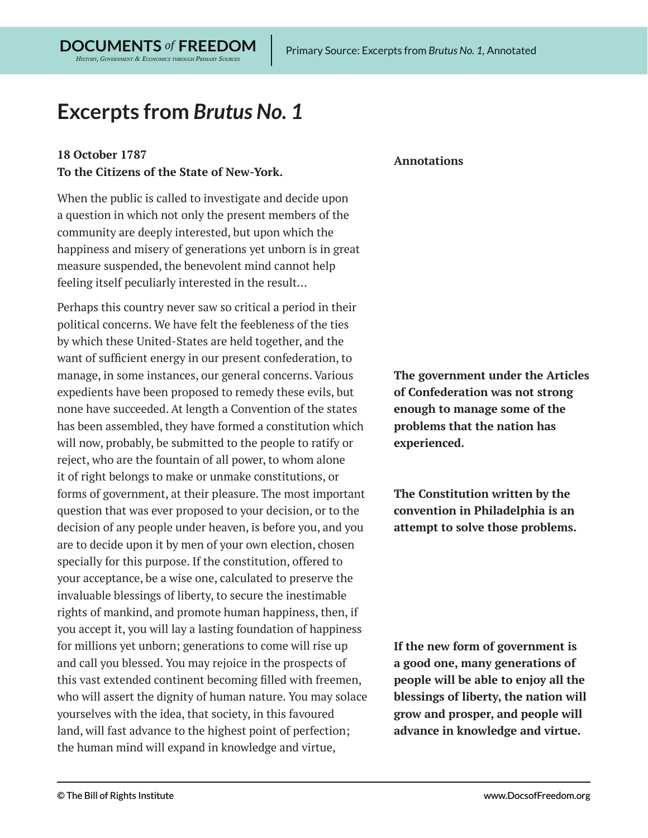# **Excerpts from** *Brutus No. 1*

#### **18 October 1787 To the Citizens of the State of New-York.**

#### **Annotations**

When the public is called to investigate and decide upon a question in which not only the present members of the community are deeply interested, but upon which the happiness and misery of generations yet unborn is in great measure suspended, the benevolent mind cannot help feeling itself peculiarly interested in the result...

Perhaps this country never saw so critical a period in their political concerns. We have felt the feebleness of the ties by which these United-States are held together, and the want of sufficient energy in our present confederation, to manage, in some instances, our general concerns. Various expedients have been proposed to remedy these evils, but none have succeeded. At length a Convention of the states has been assembled, they have formed a constitution which will now, probably, be submitted to the people to ratify or reject, who are the fountain of all power, to whom alone it of right belongs to make or unmake constitutions, or forms of government, at their pleasure. The most important question that was ever proposed to your decision, or to the decision of any people under heaven, is before you, and you are to decide upon it by men of your own election, chosen specially for this purpose. If the constitution, offered to your acceptance, be a wise one, calculated to preserve the invaluable blessings of liberty, to secure the inestimable rights of mankind, and promote human happiness, then, if you accept it, you will lay a lasting foundation of happiness for millions yet unborn; generations to come will rise up and call you blessed. You may rejoice in the prospects of this vast extended continent becoming filled with freemen, who will assert the dignity of human nature. You may solace yourselves with the idea, that society, in this favoured land, will fast advance to the highest point of perfection; the human mind will expand in knowledge and virtue,

**The government under the Articles of Confederation was not strong enough to manage some of the problems that the nation has experienced.**

**The Constitution written by the convention in Philadelphia is an attempt to solve those problems.**

**If the new form of government is a good one, many generations of people will be able to enjoy all the blessings of liberty, the nation will grow and prosper, and people will advance in knowledge and virtue.**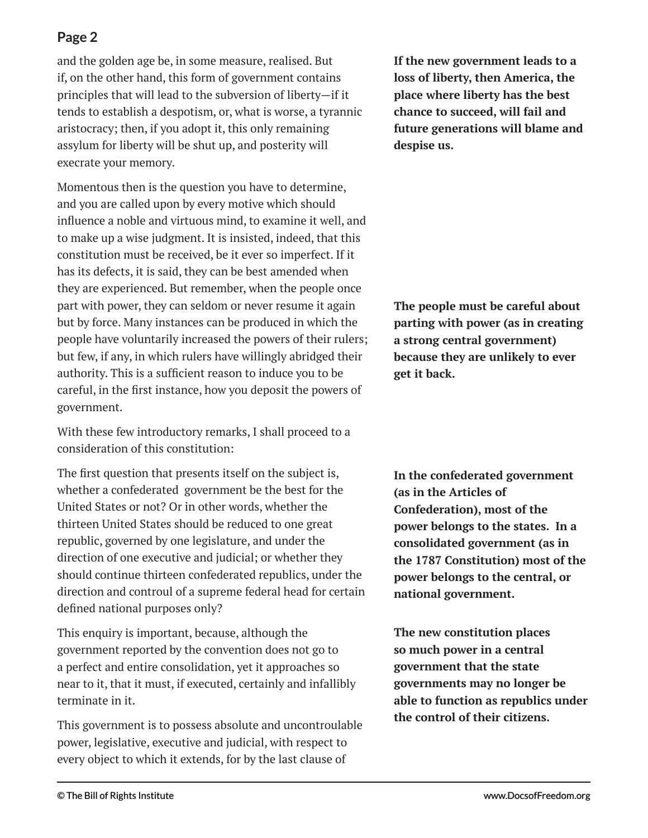and the golden age be, in some measure, realised. But if, on the other hand, this form of government contains principles that will lead to the subversion of liberty—if it tends to establish a despotism, or, what is worse, a tyrannic aristocracy; then, if you adopt it, this only remaining assylum for liberty will be shut up, and posterity will execrate your memory.

Momentous then is the question you have to determine, and you are called upon by every motive which should influence a noble and virtuous mind, to examine it well, and to make up a wise judgment. It is insisted, indeed, that this constitution must be received, be it ever so imperfect. If it has its defects, it is said, they can be best amended when they are experienced. But remember, when the people once part with power, they can seldom or never resume it again but by force. Many instances can be produced in which the people have voluntarily increased the powers of their rulers; but few, if any, in which rulers have willingly abridged their authority. This is a sufficient reason to induce you to be careful, in the first instance, how you deposit the powers of government.

With these few introductory remarks, I shall proceed to a consideration of this constitution:

The first question that presents itself on the subject is, whether a confederated government be the best for the United States or not? Or in other words, whether the thirteen United States should be reduced to one great republic, governed by one legislature, and under the direction of one executive and judicial; or whether they should continue thirteen confederated republics, under the direction and controul of a supreme federal head for certain defined national purposes only?

This enquiry is important, because, although the government reported by the convention does not go to a perfect and entire consolidation, yet it approaches so near to it, that it must, if executed, certainly and infallibly terminate in it.

This government is to possess absolute and uncontroulable power, legislative, executive and judicial, with respect to every object to which it extends, for by the last clause of

**If the new government leads to a loss of liberty, then America, the place where liberty has the best chance to succeed, will fail and future generations will blame and despise us.**

**The people must be careful about parting with power (as in creating a strong central government) because they are unlikely to ever get it back.**

**In the confederated government (as in the Articles of Confederation), most of the power belongs to the states. In a consolidated government (as in the 1787 Constitution) most of the power belongs to the central, or national government.**

**The new constitution places so much power in a central government that the state governments may no longer be able to function as republics under the control of their citizens.**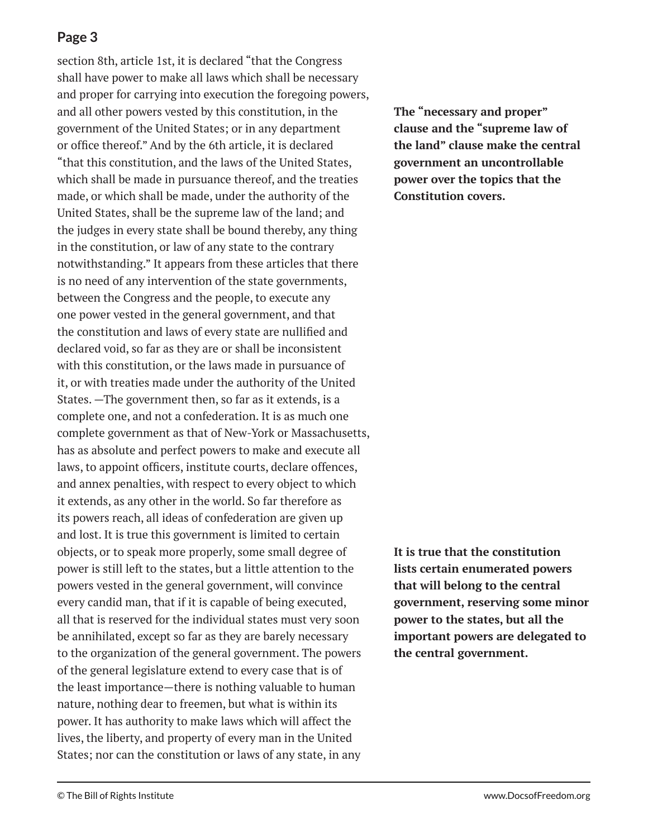section 8th, article 1st, it is declared "that the Congress shall have power to make all laws which shall be necessary and proper for carrying into execution the foregoing powers, and all other powers vested by this constitution, in the government of the United States; or in any department or office thereof." And by the 6th article, it is declared "that this constitution, and the laws of the United States, which shall be made in pursuance thereof, and the treaties made, or which shall be made, under the authority of the United States, shall be the supreme law of the land; and the judges in every state shall be bound thereby, any thing in the constitution, or law of any state to the contrary notwithstanding." It appears from these articles that there is no need of any intervention of the state governments, between the Congress and the people, to execute any one power vested in the general government, and that the constitution and laws of every state are nullified and declared void, so far as they are or shall be inconsistent with this constitution, or the laws made in pursuance of it, or with treaties made under the authority of the United States. —The government then, so far as it extends, is a complete one, and not a confederation. It is as much one complete government as that of New-York or Massachusetts, has as absolute and perfect powers to make and execute all laws, to appoint officers, institute courts, declare offences, and annex penalties, with respect to every object to which it extends, as any other in the world. So far therefore as its powers reach, all ideas of confederation are given up and lost. It is true this government is limited to certain objects, or to speak more properly, some small degree of power is still left to the states, but a little attention to the powers vested in the general government, will convince every candid man, that if it is capable of being executed, all that is reserved for the individual states must very soon be annihilated, except so far as they are barely necessary to the organization of the general government. The powers of the general legislature extend to every case that is of the least importance—there is nothing valuable to human nature, nothing dear to freemen, but what is within its power. It has authority to make laws which will affect the lives, the liberty, and property of every man in the United States; nor can the constitution or laws of any state, in any

**The "necessary and proper" clause and the "supreme law of the land" clause make the central government an uncontrollable power over the topics that the Constitution covers.**

**It is true that the constitution lists certain enumerated powers that will belong to the central government, reserving some minor power to the states, but all the important powers are delegated to the central government.**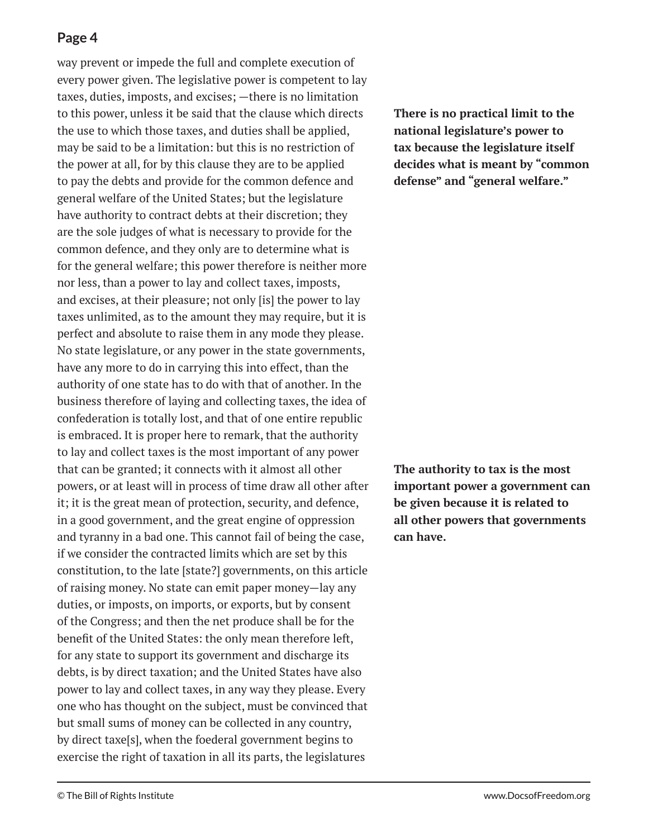way prevent or impede the full and complete execution of every power given. The legislative power is competent to lay taxes, duties, imposts, and excises; —there is no limitation to this power, unless it be said that the clause which directs the use to which those taxes, and duties shall be applied, may be said to be a limitation: but this is no restriction of the power at all, for by this clause they are to be applied to pay the debts and provide for the common defence and general welfare of the United States; but the legislature have authority to contract debts at their discretion; they are the sole judges of what is necessary to provide for the common defence, and they only are to determine what is for the general welfare; this power therefore is neither more nor less, than a power to lay and collect taxes, imposts, and excises, at their pleasure; not only [is] the power to lay taxes unlimited, as to the amount they may require, but it is perfect and absolute to raise them in any mode they please. No state legislature, or any power in the state governments, have any more to do in carrying this into effect, than the authority of one state has to do with that of another. In the business therefore of laying and collecting taxes, the idea of confederation is totally lost, and that of one entire republic is embraced. It is proper here to remark, that the authority to lay and collect taxes is the most important of any power that can be granted; it connects with it almost all other powers, or at least will in process of time draw all other after it; it is the great mean of protection, security, and defence, in a good government, and the great engine of oppression and tyranny in a bad one. This cannot fail of being the case, if we consider the contracted limits which are set by this constitution, to the late [state?] governments, on this article of raising money. No state can emit paper money—lay any duties, or imposts, on imports, or exports, but by consent of the Congress; and then the net produce shall be for the benefit of the United States: the only mean therefore left, for any state to support its government and discharge its debts, is by direct taxation; and the United States have also power to lay and collect taxes, in any way they please. Every one who has thought on the subject, must be convinced that but small sums of money can be collected in any country, by direct taxe[s], when the foederal government begins to exercise the right of taxation in all its parts, the legislatures

**There is no practical limit to the national legislature's power to tax because the legislature itself decides what is meant by "common defense" and "general welfare."**

**The authority to tax is the most important power a government can be given because it is related to all other powers that governments can have.**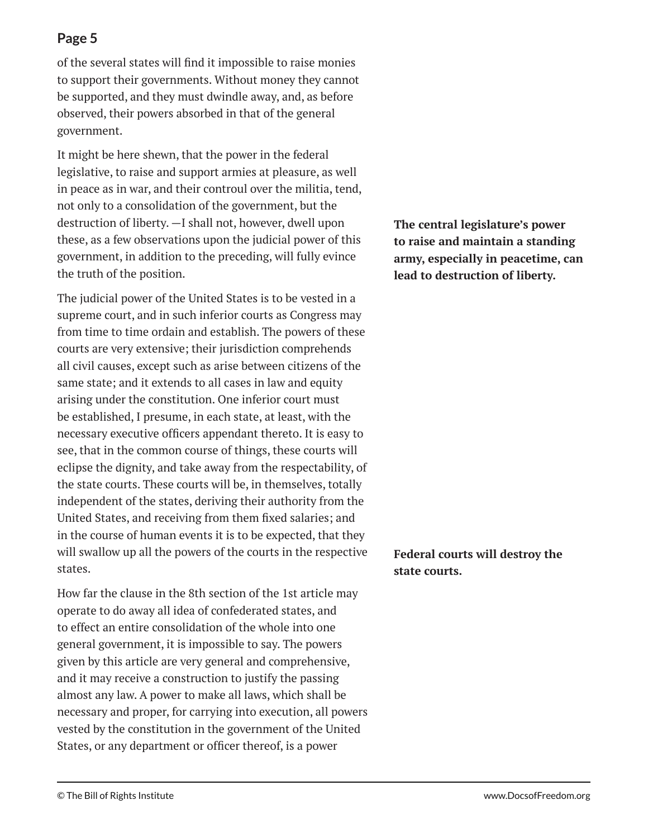of the several states will find it impossible to raise monies to support their governments. Without money they cannot be supported, and they must dwindle away, and, as before observed, their powers absorbed in that of the general government.

It might be here shewn, that the power in the federal legislative, to raise and support armies at pleasure, as well in peace as in war, and their controul over the militia, tend, not only to a consolidation of the government, but the destruction of liberty. —I shall not, however, dwell upon these, as a few observations upon the judicial power of this government, in addition to the preceding, will fully evince the truth of the position.

The judicial power of the United States is to be vested in a supreme court, and in such inferior courts as Congress may from time to time ordain and establish. The powers of these courts are very extensive; their jurisdiction comprehends all civil causes, except such as arise between citizens of the same state; and it extends to all cases in law and equity arising under the constitution. One inferior court must be established, I presume, in each state, at least, with the necessary executive officers appendant thereto. It is easy to see, that in the common course of things, these courts will eclipse the dignity, and take away from the respectability, of the state courts. These courts will be, in themselves, totally independent of the states, deriving their authority from the United States, and receiving from them fixed salaries; and in the course of human events it is to be expected, that they will swallow up all the powers of the courts in the respective states.

How far the clause in the 8th section of the 1st article may operate to do away all idea of confederated states, and to effect an entire consolidation of the whole into one general government, it is impossible to say. The powers given by this article are very general and comprehensive, and it may receive a construction to justify the passing almost any law. A power to make all laws, which shall be necessary and proper, for carrying into execution, all powers vested by the constitution in the government of the United States, or any department or officer thereof, is a power

**The central legislature's power to raise and maintain a standing army, especially in peacetime, can lead to destruction of liberty.**

### **Federal courts will destroy the state courts.**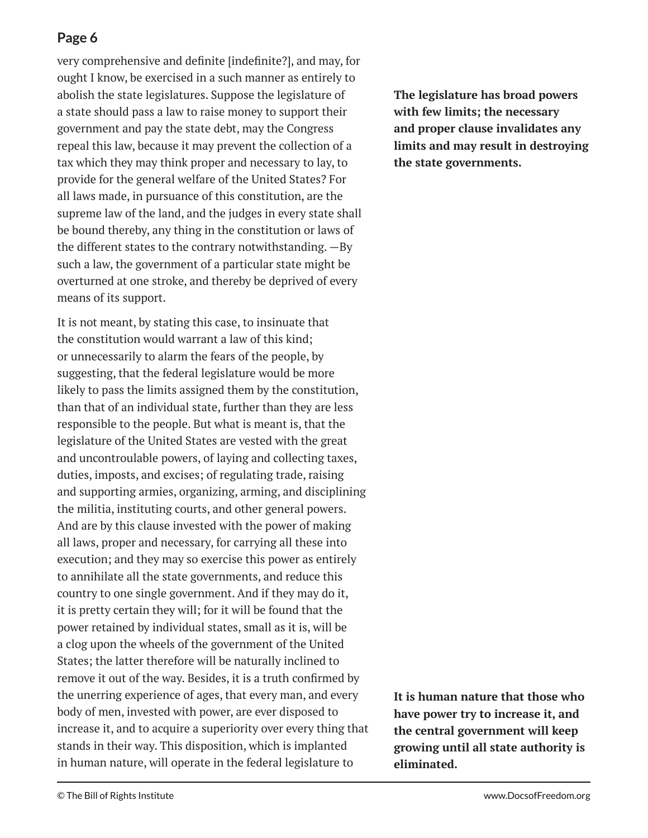very comprehensive and definite [indefinite?], and may, for ought I know, be exercised in a such manner as entirely to abolish the state legislatures. Suppose the legislature of a state should pass a law to raise money to support their government and pay the state debt, may the Congress repeal this law, because it may prevent the collection of a tax which they may think proper and necessary to lay, to provide for the general welfare of the United States? For all laws made, in pursuance of this constitution, are the supreme law of the land, and the judges in every state shall be bound thereby, any thing in the constitution or laws of the different states to the contrary notwithstanding. —By such a law, the government of a particular state might be overturned at one stroke, and thereby be deprived of every means of its support.

It is not meant, by stating this case, to insinuate that the constitution would warrant a law of this kind; or unnecessarily to alarm the fears of the people, by suggesting, that the federal legislature would be more likely to pass the limits assigned them by the constitution, than that of an individual state, further than they are less responsible to the people. But what is meant is, that the legislature of the United States are vested with the great and uncontroulable powers, of laying and collecting taxes, duties, imposts, and excises; of regulating trade, raising and supporting armies, organizing, arming, and disciplining the militia, instituting courts, and other general powers. And are by this clause invested with the power of making all laws, proper and necessary, for carrying all these into execution; and they may so exercise this power as entirely to annihilate all the state governments, and reduce this country to one single government. And if they may do it, it is pretty certain they will; for it will be found that the power retained by individual states, small as it is, will be a clog upon the wheels of the government of the United States; the latter therefore will be naturally inclined to remove it out of the way. Besides, it is a truth confirmed by the unerring experience of ages, that every man, and every body of men, invested with power, are ever disposed to increase it, and to acquire a superiority over every thing that stands in their way. This disposition, which is implanted in human nature, will operate in the federal legislature to

**The legislature has broad powers with few limits; the necessary and proper clause invalidates any limits and may result in destroying the state governments.**

**It is human nature that those who have power try to increase it, and the central government will keep growing until all state authority is eliminated.**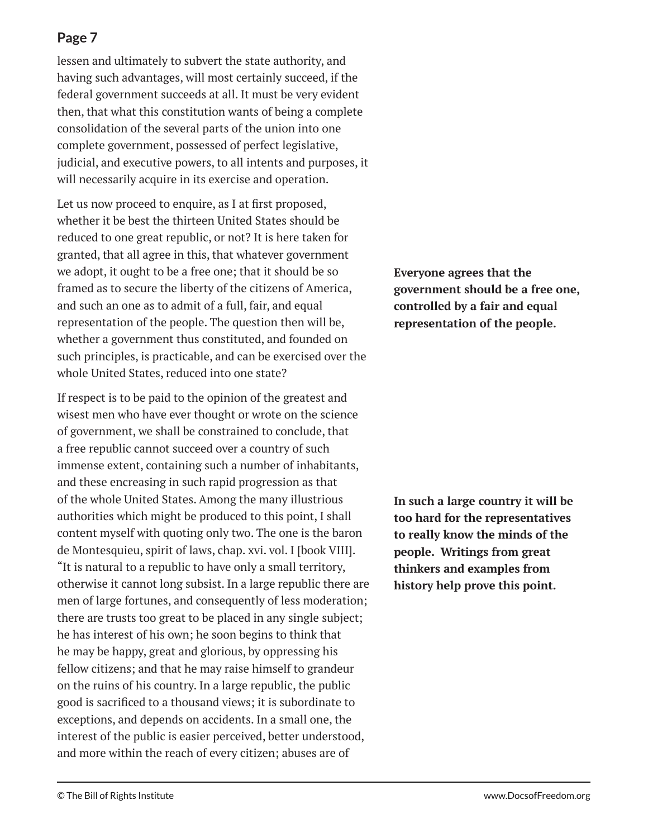lessen and ultimately to subvert the state authority, and having such advantages, will most certainly succeed, if the federal government succeeds at all. It must be very evident then, that what this constitution wants of being a complete consolidation of the several parts of the union into one complete government, possessed of perfect legislative, judicial, and executive powers, to all intents and purposes, it will necessarily acquire in its exercise and operation.

Let us now proceed to enquire, as I at first proposed, whether it be best the thirteen United States should be reduced to one great republic, or not? It is here taken for granted, that all agree in this, that whatever government we adopt, it ought to be a free one; that it should be so framed as to secure the liberty of the citizens of America, and such an one as to admit of a full, fair, and equal representation of the people. The question then will be, whether a government thus constituted, and founded on such principles, is practicable, and can be exercised over the whole United States, reduced into one state?

If respect is to be paid to the opinion of the greatest and wisest men who have ever thought or wrote on the science of government, we shall be constrained to conclude, that a free republic cannot succeed over a country of such immense extent, containing such a number of inhabitants, and these encreasing in such rapid progression as that of the whole United States. Among the many illustrious authorities which might be produced to this point, I shall content myself with quoting only two. The one is the baron de Montesquieu, spirit of laws, chap. xvi. vol. I [book VIII]. "It is natural to a republic to have only a small territory, otherwise it cannot long subsist. In a large republic there are men of large fortunes, and consequently of less moderation; there are trusts too great to be placed in any single subject; he has interest of his own; he soon begins to think that he may be happy, great and glorious, by oppressing his fellow citizens; and that he may raise himself to grandeur on the ruins of his country. In a large republic, the public good is sacrificed to a thousand views; it is subordinate to exceptions, and depends on accidents. In a small one, the interest of the public is easier perceived, better understood, and more within the reach of every citizen; abuses are of

**Everyone agrees that the government should be a free one, controlled by a fair and equal representation of the people.**

**In such a large country it will be too hard for the representatives to really know the minds of the people. Writings from great thinkers and examples from history help prove this point.**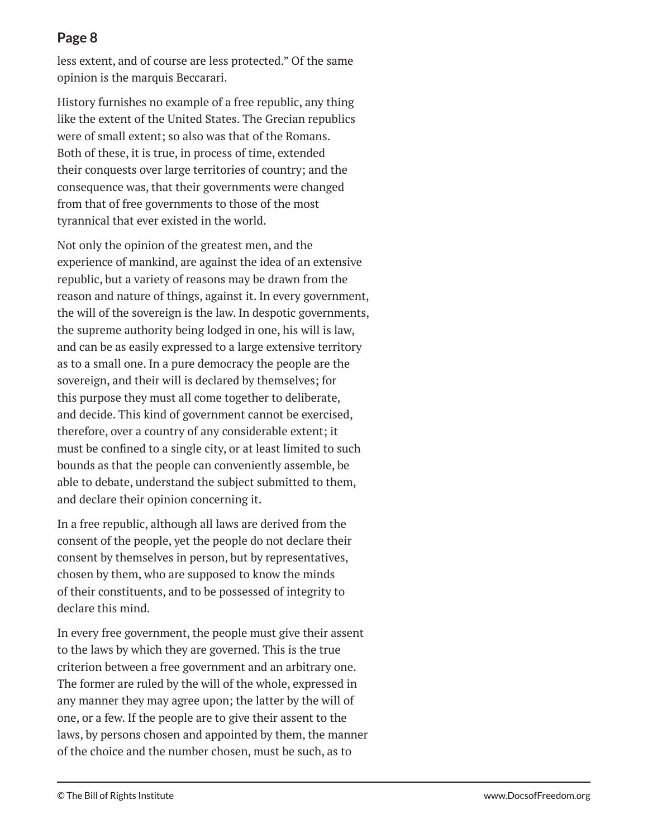less extent, and of course are less protected." Of the same opinion is the marquis Beccarari.

History furnishes no example of a free republic, any thing like the extent of the United States. The Grecian republics were of small extent; so also was that of the Romans. Both of these, it is true, in process of time, extended their conquests over large territories of country; and the consequence was, that their governments were changed from that of free governments to those of the most tyrannical that ever existed in the world.

Not only the opinion of the greatest men, and the experience of mankind, are against the idea of an extensive republic, but a variety of reasons may be drawn from the reason and nature of things, against it. In every government, the will of the sovereign is the law. In despotic governments, the supreme authority being lodged in one, his will is law, and can be as easily expressed to a large extensive territory as to a small one. In a pure democracy the people are the sovereign, and their will is declared by themselves; for this purpose they must all come together to deliberate, and decide. This kind of government cannot be exercised, therefore, over a country of any considerable extent; it must be confined to a single city, or at least limited to such bounds as that the people can conveniently assemble, be able to debate, understand the subject submitted to them, and declare their opinion concerning it.

In a free republic, although all laws are derived from the consent of the people, yet the people do not declare their consent by themselves in person, but by representatives, chosen by them, who are supposed to know the minds of their constituents, and to be possessed of integrity to declare this mind.

In every free government, the people must give their assent to the laws by which they are governed. This is the true criterion between a free government and an arbitrary one. The former are ruled by the will of the whole, expressed in any manner they may agree upon; the latter by the will of one, or a few. If the people are to give their assent to the laws, by persons chosen and appointed by them, the manner of the choice and the number chosen, must be such, as to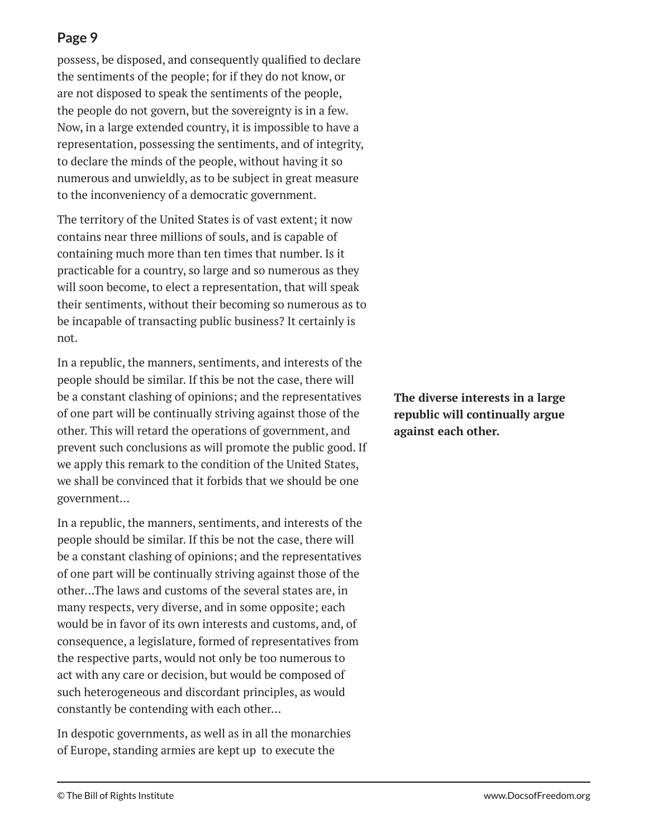possess, be disposed, and consequently qualified to declare the sentiments of the people; for if they do not know, or are not disposed to speak the sentiments of the people, the people do not govern, but the sovereignty is in a few. Now, in a large extended country, it is impossible to have a representation, possessing the sentiments, and of integrity, to declare the minds of the people, without having it so numerous and unwieldly, as to be subject in great measure to the inconveniency of a democratic government.

The territory of the United States is of vast extent; it now contains near three millions of souls, and is capable of containing much more than ten times that number. Is it practicable for a country, so large and so numerous as they will soon become, to elect a representation, that will speak their sentiments, without their becoming so numerous as to be incapable of transacting public business? It certainly is not.

In a republic, the manners, sentiments, and interests of the people should be similar. If this be not the case, there will be a constant clashing of opinions; and the representatives of one part will be continually striving against those of the other. This will retard the operations of government, and prevent such conclusions as will promote the public good. If we apply this remark to the condition of the United States, we shall be convinced that it forbids that we should be one government…

In a republic, the manners, sentiments, and interests of the people should be similar. If this be not the case, there will be a constant clashing of opinions; and the representatives of one part will be continually striving against those of the other…The laws and customs of the several states are, in many respects, very diverse, and in some opposite; each would be in favor of its own interests and customs, and, of consequence, a legislature, formed of representatives from the respective parts, would not only be too numerous to act with any care or decision, but would be composed of such heterogeneous and discordant principles, as would constantly be contending with each other…

In despotic governments, as well as in all the monarchies of Europe, standing armies are kept up to execute the

**The diverse interests in a large republic will continually argue against each other.**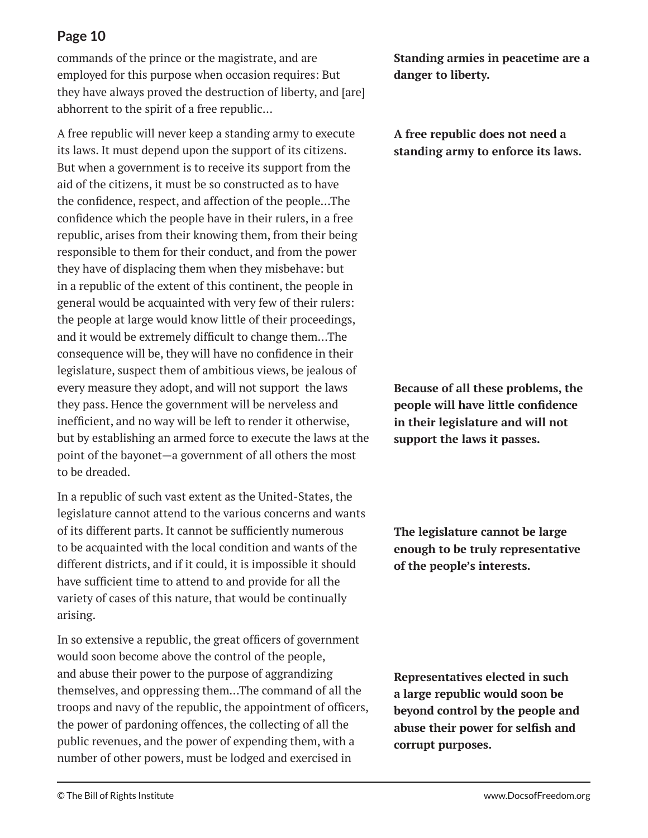commands of the prince or the magistrate, and are employed for this purpose when occasion requires: But they have always proved the destruction of liberty, and [are] abhorrent to the spirit of a free republic…

A free republic will never keep a standing army to execute its laws. It must depend upon the support of its citizens. But when a government is to receive its support from the aid of the citizens, it must be so constructed as to have the confidence, respect, and affection of the people…The confidence which the people have in their rulers, in a free republic, arises from their knowing them, from their being responsible to them for their conduct, and from the power they have of displacing them when they misbehave: but in a republic of the extent of this continent, the people in general would be acquainted with very few of their rulers: the people at large would know little of their proceedings, and it would be extremely difficult to change them…The consequence will be, they will have no confidence in their legislature, suspect them of ambitious views, be jealous of every measure they adopt, and will not support the laws they pass. Hence the government will be nerveless and inefficient, and no way will be left to render it otherwise, but by establishing an armed force to execute the laws at the point of the bayonet—a government of all others the most to be dreaded.

In a republic of such vast extent as the United-States, the legislature cannot attend to the various concerns and wants of its different parts. It cannot be sufficiently numerous to be acquainted with the local condition and wants of the different districts, and if it could, it is impossible it should have sufficient time to attend to and provide for all the variety of cases of this nature, that would be continually arising.

In so extensive a republic, the great officers of government would soon become above the control of the people, and abuse their power to the purpose of aggrandizing themselves, and oppressing them…The command of all the troops and navy of the republic, the appointment of officers, the power of pardoning offences, the collecting of all the public revenues, and the power of expending them, with a number of other powers, must be lodged and exercised in

**Standing armies in peacetime are a danger to liberty.**

**A free republic does not need a standing army to enforce its laws.**

**Because of all these problems, the people will have little confidence in their legislature and will not support the laws it passes.**

**The legislature cannot be large enough to be truly representative of the people's interests.**

**Representatives elected in such a large republic would soon be beyond control by the people and abuse their power for selfish and corrupt purposes.**